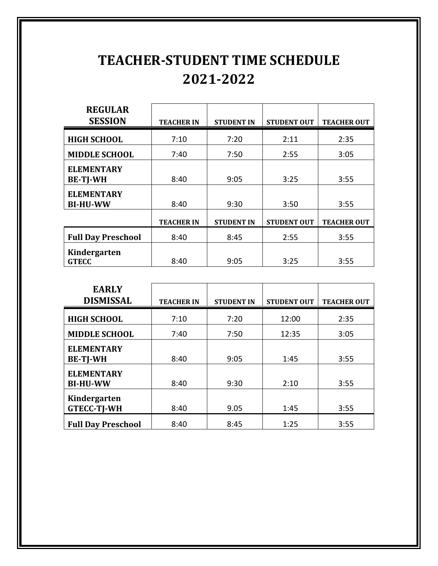## **TEACHER-STUDENT TIME SCHEDULE 2021-2022**

| <b>REGULAR</b><br><b>SESSION</b>     | <b>TEACHER IN</b> | <b>STUDENT IN</b> | <b>STUDENT OUT</b> | <b>TEACHER OUT</b> |
|--------------------------------------|-------------------|-------------------|--------------------|--------------------|
| <b>HIGH SCHOOL</b>                   | 7:10              | 7:20              | 2:11               | 2:35               |
| <b>MIDDLE SCHOOL</b>                 | 7:40              | 7:50              | 2:55               | 3:05               |
| <b>ELEMENTARY</b><br><b>BE-TJ-WH</b> | 8:40              | 9:05              | 3:25               | 3:55               |
| <b>ELEMENTARY</b><br><b>BI-HU-WW</b> | 8:40              | 9:30              | 3:50               | 3:55               |
|                                      | <b>TEACHER IN</b> | <b>STUDENT IN</b> | <b>STUDENT OUT</b> | <b>TEACHER OUT</b> |
| <b>Full Day Preschool</b>            | 8:40              | 8:45              | 2:55               | 3:55               |
| Kindergarten<br><b>GTECC</b>         | 8:40              | 9:05              | 3:25               | 3:55               |

| <b>EARLY</b><br><b>DISMISSAL</b>     | <b>TEACHER IN</b> | <b>STUDENT IN</b> | <b>STUDENT OUT</b> | <b>TEACHER OUT</b> |
|--------------------------------------|-------------------|-------------------|--------------------|--------------------|
| <b>HIGH SCHOOL</b>                   | 7:10              | 7:20              | 12:00              | 2:35               |
| <b>MIDDLE SCHOOL</b>                 | 7:40              | 7:50              | 12:35              | 3:05               |
| <b>ELEMENTARY</b><br><b>BE-TJ-WH</b> | 8:40              | 9:05              | 1:45               | 3:55               |
| <b>ELEMENTARY</b><br><b>BI-HU-WW</b> | 8:40              | 9:30              | 2:10               | 3:55               |
| Kindergarten<br><b>GTECC-TJ-WH</b>   | 8:40              | 9.05              | 1:45               | 3:55               |
| <b>Full Day Preschool</b>            | 8:40              | 8:45              | 1:25               | 3:55               |